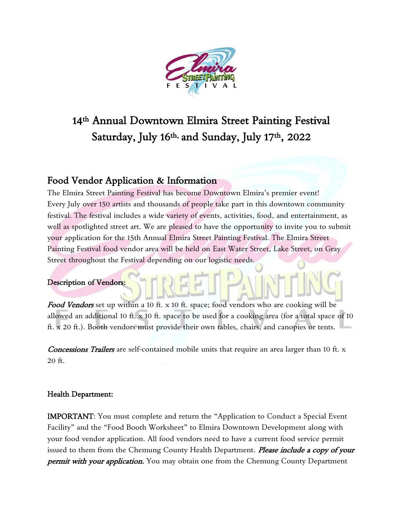

# 14th Annual Downtown Elmira Street Painting Festival Saturday, July 16th, and Sunday, July 17th , 2022

# Food Vendor Application & Information

The Elmira Street Painting Festival has become Downtown Elmira's premier event! Every July over 150 artists and thousands of people take part in this downtown community festival. The festival includes a wide variety of events, activities, food, and entertainment, as well as spotlighted street art. We are pleased to have the opportunity to invite you to submit your application for the 15th Annual Elmira Street Painting Festival. The Elmira Street Painting Festival food vendor area will be held on East Water Street, Lake Street, on Gray Street throughout the Festival depending on our logistic needs.

## Description of Vendors:

Food Vendors set up within a 10 ft. x 10 ft. space; food vendors who are cooking will be allowed an additional 10 ft. x 10 ft. space to be used for a cooking area (for a total space of 10 ft. x 20 ft.). Booth vendors must provide their own tables, chairs, and canopies or tents.

Concessions Trailers are self-contained mobile units that require an area larger than 10 ft. x 20 ft.

## Health Department:

IMPORTANT: You must complete and return the "Application to Conduct a Special Event Facility" and the "Food Booth Worksheet" to Elmira Downtown Development along with your food vendor application. All food vendors need to have a current food service permit issued to them from the Chemung County Health Department. Please include a copy of your **permit with your application.** You may obtain one from the Chemung County Department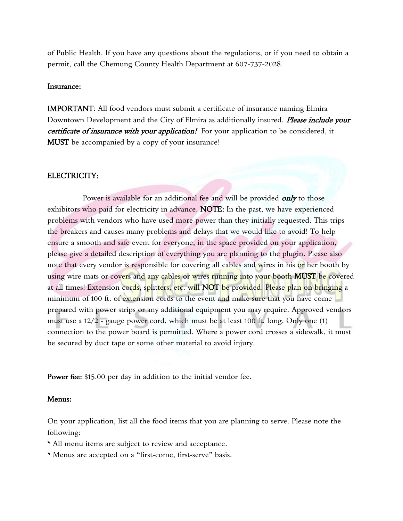of Public Health. If you have any questions about the regulations, or if you need to obtain a permit, call the Chemung County Health Department at 607-737-2028.

### Insurance:

IMPORTANT: All food vendors must submit a certificate of insurance naming Elmira Downtown Development and the City of Elmira as additionally insured. *Please include your* certificate of insurance with your application! For your application to be considered, it MUST be accompanied by a copy of your insurance!

#### ELECTRICITY:

Power is available for an additional fee and will be provided *only* to those exhibitors who paid for electricity in advance. NOTE: In the past, we have experienced problems with vendors who have used more power than they initially requested. This trips the breakers and causes many problems and delays that we would like to avoid! To help ensure a smooth and safe event for everyone, in the space provided on your application, please give a detailed description of everything you are planning to the plugin. Please also note that every vendor is responsible for covering all cables and wires in his or her booth by using wire mats or covers and any cables or wires running into your booth MUST be covered at all times! Extension cords, splitters, etc. will NOT be provided. Please plan on bringing a minimum of 100 ft. of extension cords to the event and make sure that you have come prepared with power strips or any additional equipment you may require. Approved vendors must use a 12/2 - gauge power cord, which must be at least 100 ft. long. Only one (1) connection to the power board is permitted. Where a power cord crosses a sidewalk, it must be secured by duct tape or some other material to avoid injury.

Power fee: \$15.00 per day in addition to the initial vendor fee.

### Menus:

On your application, list all the food items that you are planning to serve. Please note the following:

- \* All menu items are subject to review and acceptance.
- \* Menus are accepted on a "first-come, first-serve" basis.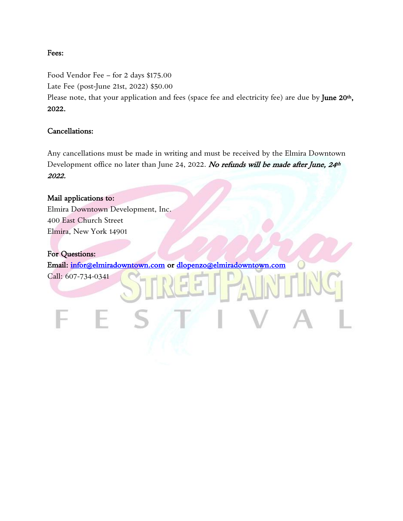### Fees:

Food Vendor Fee – for 2 days \$175.00 Late Fee (post-June 21st, 2022) \$50.00

Please note, that your application and fees (space fee and electricity fee) are due by June 20<sup>th</sup>, 2022.

## Cancellations:

Any cancellations must be made in writing and must be received by the Elmira Downtown Development office no later than June 24, 2022. No refunds will be made after June, 24th 2022.

# Mail applications to: Elmira Downtown Development, Inc. 400 East Church Street Elmira, New York 14901 For Questions: Email: [infor@elmiradowntown.com](mailto:infor@elmiradowntown.com) or [dlopenzo@elmiradowntown.com](mailto:dlopenzo@elmiradowntown.com)  Call: 607-734-0341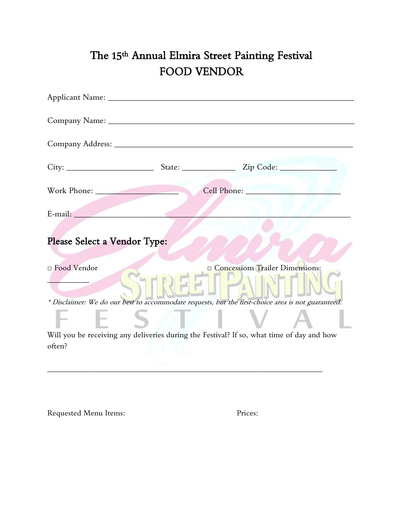# The 15th Annual Elmira Street Painting Festival FOOD VENDOR

|                              | Cell Phone:                                                                                        |
|------------------------------|----------------------------------------------------------------------------------------------------|
|                              |                                                                                                    |
| Please Select a Vendor Type: |                                                                                                    |
| □ Food Vendor                | <b>Concessions Trailer Dimensions:</b>                                                             |
|                              | * Disclaimer: We do our best to accommodate requests, but the first-choice area is not guaranteed. |
|                              |                                                                                                    |
| often?                       | Will you be receiving any deliveries during the Festival? If so, what time of day and how          |

\_\_\_\_\_\_\_\_\_\_\_\_\_\_\_\_\_\_\_\_\_\_\_\_\_\_\_\_\_\_\_\_\_\_\_\_\_\_\_\_\_\_\_\_\_\_\_\_\_\_\_\_\_\_\_\_\_\_\_\_\_\_\_\_\_\_\_\_\_\_\_\_\_\_\_\_

Requested Menu Items: Prices: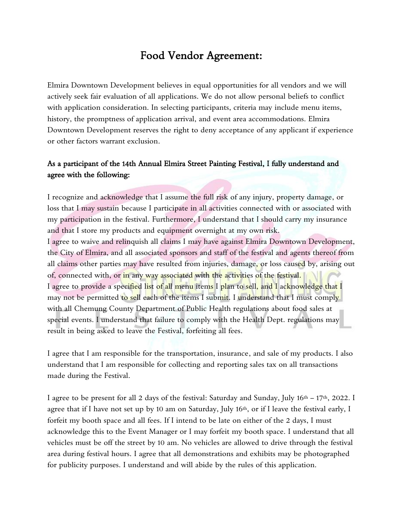# Food Vendor Agreement:

Elmira Downtown Development believes in equal opportunities for all vendors and we will actively seek fair evaluation of all applications. We do not allow personal beliefs to conflict with application consideration. In selecting participants, criteria may include menu items, history, the promptness of application arrival, and event area accommodations. Elmira Downtown Development reserves the right to deny acceptance of any applicant if experience or other factors warrant exclusion.

# As a participant of the 14th Annual Elmira Street Painting Festival, I fully understand and agree with the following:

I recognize and acknowledge that I assume the full risk of any injury, property damage, or loss that I may sustain because I participate in all activities connected with or associated with my participation in the festival. Furthermore, I understand that I should carry my insurance and that I store my products and equipment overnight at my own risk. I agree to waive and relinquish all claims I may have against Elmira Downtown Development, the City of Elmira, and all associated sponsors and staff of the festival and agents thereof from all claims other parties may have resulted from injuries, damage, or loss caused by, arising out of, connected with, or in any way associated with the activities of the festival. I agree to provide a specified list of all menu items I plan to sell, and I acknowledge that I may not be permitted to sell each of the items I submit. I understand that I must comply with all Chemung County Department of Public Health regulations about food sales at special events. I understand that failure to comply with the Health Dept. regulations may result in being asked to leave the Festival, forfeiting all fees.

I agree that I am responsible for the transportation, insurance, and sale of my products. I also understand that I am responsible for collecting and reporting sales tax on all transactions made during the Festival.

I agree to be present for all 2 days of the festival: Saturday and Sunday, July 16th – 17th, 2022. I agree that if I have not set up by 10 am on Saturday, July 16th, or if I leave the festival early, I forfeit my booth space and all fees. If I intend to be late on either of the 2 days, I must acknowledge this to the Event Manager or I may forfeit my booth space. I understand that all vehicles must be off the street by 10 am. No vehicles are allowed to drive through the festival area during festival hours. I agree that all demonstrations and exhibits may be photographed for publicity purposes. I understand and will abide by the rules of this application.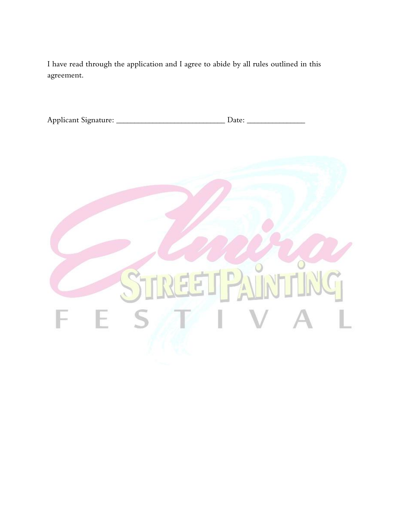I have read through the application and I agree to abide by all rules outlined in this agreement.

| Applicant Signature: |  |  |  |
|----------------------|--|--|--|
|----------------------|--|--|--|

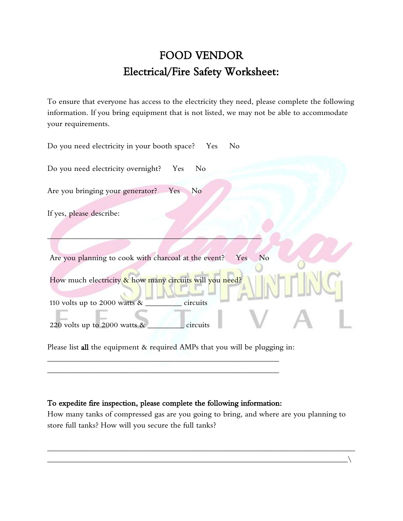# FOOD VENDOR Electrical/Fire Safety Worksheet:

To ensure that everyone has access to the electricity they need, please complete the following information. If you bring equipment that is not listed, we may not be able to accommodate your requirements.

| Do you need electricity in your booth space? Yes<br>N <sub>o</sub>                                     |
|--------------------------------------------------------------------------------------------------------|
| Do you need electricity overnight?<br>Yes<br>N <sub>o</sub>                                            |
| Are you bringing your generator?<br>Yes<br>No                                                          |
| If yes, please describe:                                                                               |
| Are you planning to cook with charcoal at the event?<br>N <sub>o</sub><br>Yes                          |
| How much electricity & how many circuits will you need?<br>circuits<br>110 volts up to 2000 watts $\&$ |
| circuits<br>220 volts up to 2000 watts $\&$                                                            |
| Please list all the equipment & required AMPs that you will be plugging in:                            |

### To expedite fire inspection, please complete the following information:

\_\_\_\_\_\_\_\_\_\_\_\_\_\_\_\_\_\_\_\_\_\_\_\_\_\_\_\_\_\_\_\_\_\_\_\_\_\_\_\_\_\_\_\_\_\_\_\_\_\_\_\_\_\_\_\_\_\_\_\_\_\_\_\_ \_\_\_\_\_\_\_\_\_\_\_\_\_\_\_\_\_\_\_\_\_\_\_\_\_\_\_\_\_\_\_\_\_\_\_\_\_\_\_\_\_\_\_\_\_\_\_\_\_\_\_\_\_\_\_\_\_\_\_\_\_\_\_\_

How many tanks of compressed gas are you going to bring, and where are you planning to store full tanks? How will you secure the full tanks?

\_\_\_\_\_\_\_\_\_\_\_\_\_\_\_\_\_\_\_\_\_\_\_\_\_\_\_\_\_\_\_\_\_\_\_\_\_\_\_\_\_\_\_\_\_\_\_\_\_\_\_\_\_\_\_\_\_\_\_\_\_\_\_\_\_\_\_\_\_\_\_\_\_\_\_\_\_\_\_\_\_\_\_\_\_ \_\_\_\_\_\_\_\_\_\_\_\_\_\_\_\_\_\_\_\_\_\_\_\_\_\_\_\_\_\_\_\_\_\_\_\_\_\_\_\_\_\_\_\_\_\_\_\_\_\_\_\_\_\_\_\_\_\_\_\_\_\_\_\_\_\_\_\_\_\_\_\_\_\_\_\_\_\_\_\_\_\_\_\